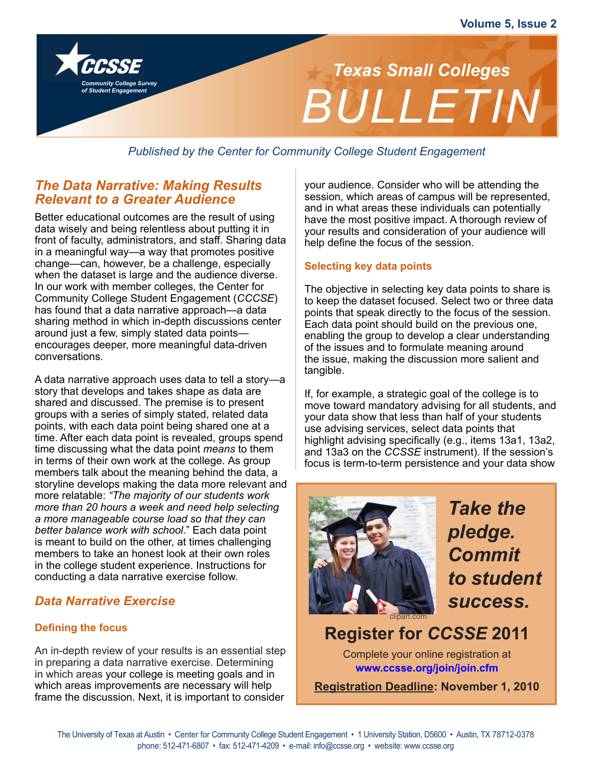

 *Published by the Center for Community College Student Engagement*

### *The Data Narrative: Making Results Relevant to a Greater Audience*

Better educational outcomes are the result of using data wisely and being relentless about putting it in front of faculty, administrators, and staff. Sharing data in a meaningful way—a way that promotes positive change—can, however, be a challenge, especially when the dataset is large and the audience diverse. In our work with member colleges, the Center for Community College Student Engagement (*CCCSE*) has found that a data narrative approach—a data sharing method in which in-depth discussions center around just a few, simply stated data points encourages deeper, more meaningful data-driven conversations.

A data narrative approach uses data to tell a story—a story that develops and takes shape as data are shared and discussed. The premise is to present groups with a series of simply stated, related data points, with each data point being shared one at a time. After each data point is revealed, groups spend time discussing what the data point *means* to them in terms of their own work at the college. As group members talk about the meaning behind the data, a storyline develops making the data more relevant and more relatable: *"The majority of our students work more than 20 hours a week and need help selecting a more manageable course load so that they can better balance work with school*." Each data point is meant to build on the other, at times challenging members to take an honest look at their own roles in the college student experience. Instructions for conducting a data narrative exercise follow.

### *Data Narrative Exercise*

### **Defining the focus**

An in-depth review of your results is an essential step in preparing a data narrative exercise. Determining in which areas your college is meeting goals and in which areas improvements are necessary will help frame the discussion. Next, it is important to consider

your audience. Consider who will be attending the session, which areas of campus will be represented, and in what areas these individuals can potentially have the most positive impact. A thorough review of your results and consideration of your audience will help define the focus of the session.

### **Selecting key data points**

The objective in selecting key data points to share is to keep the dataset focused. Select two or three data points that speak directly to the focus of the session. Each data point should build on the previous one, enabling the group to develop a clear understanding of the issues and to formulate meaning around the issue, making the discussion more salient and tangible.

If, for example, a strategic goal of the college is to move toward mandatory advising for all students, and your data show that less than half of your students use advising services, select data points that highlight advising specifically (e.g., items 13a1, 13a2, and 13a3 on the *CCSSE* instrument). If the session's focus is term-to-term persistence and your data show



*Take the pledge. Commit to student success.* 

# **Register for** *CCSSE* **2011**

Complete your online registration at **www.ccsse.org/join/join.cfm**

**Registration Deadline: November 1, 2010**